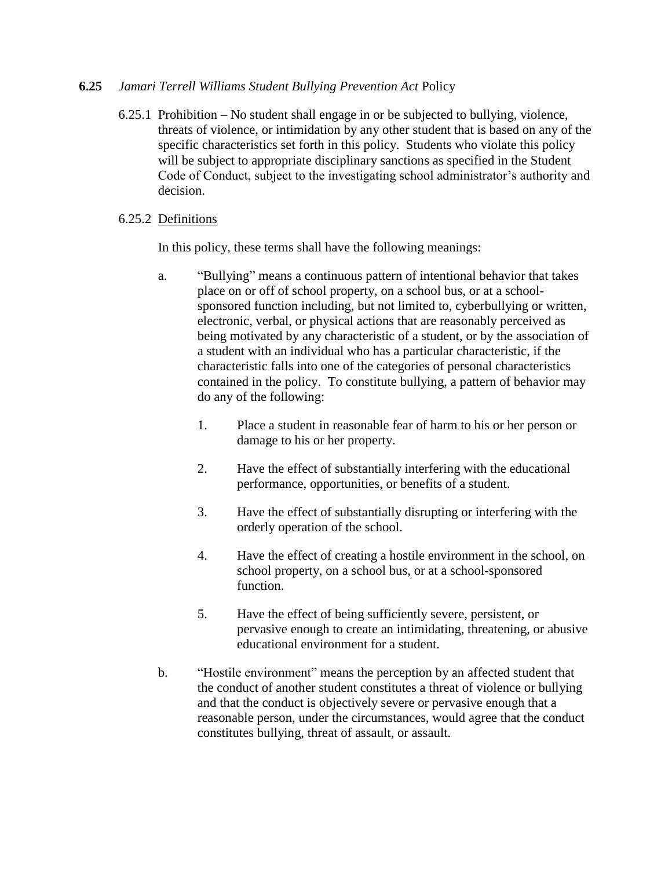## **6.25** *Jamari Terrell Williams Student Bullying Prevention Act* Policy

6.25.1 Prohibition – No student shall engage in or be subjected to bullying, violence, threats of violence, or intimidation by any other student that is based on any of the specific characteristics set forth in this policy. Students who violate this policy will be subject to appropriate disciplinary sanctions as specified in the Student Code of Conduct, subject to the investigating school administrator's authority and decision.

## 6.25.2 Definitions

In this policy, these terms shall have the following meanings:

- a. "Bullying" means a continuous pattern of intentional behavior that takes place on or off of school property, on a school bus, or at a schoolsponsored function including, but not limited to, cyberbullying or written, electronic, verbal, or physical actions that are reasonably perceived as being motivated by any characteristic of a student, or by the association of a student with an individual who has a particular characteristic, if the characteristic falls into one of the categories of personal characteristics contained in the policy. To constitute bullying, a pattern of behavior may do any of the following:
	- 1. Place a student in reasonable fear of harm to his or her person or damage to his or her property.
	- 2. Have the effect of substantially interfering with the educational performance, opportunities, or benefits of a student.
	- 3. Have the effect of substantially disrupting or interfering with the orderly operation of the school.
	- 4. Have the effect of creating a hostile environment in the school, on school property, on a school bus, or at a school-sponsored function.
	- 5. Have the effect of being sufficiently severe, persistent, or pervasive enough to create an intimidating, threatening, or abusive educational environment for a student.
- b. "Hostile environment" means the perception by an affected student that the conduct of another student constitutes a threat of violence or bullying and that the conduct is objectively severe or pervasive enough that a reasonable person, under the circumstances, would agree that the conduct constitutes bullying, threat of assault, or assault.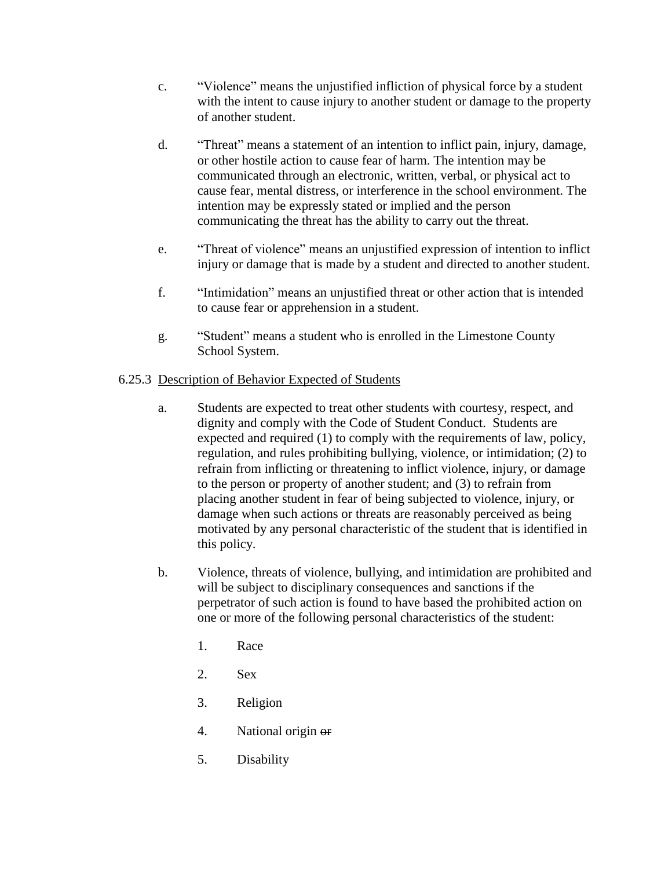- c. "Violence" means the unjustified infliction of physical force by a student with the intent to cause injury to another student or damage to the property of another student.
- d. "Threat" means a statement of an intention to inflict pain, injury, damage, or other hostile action to cause fear of harm. The intention may be communicated through an electronic, written, verbal, or physical act to cause fear, mental distress, or interference in the school environment. The intention may be expressly stated or implied and the person communicating the threat has the ability to carry out the threat.
- e. "Threat of violence" means an unjustified expression of intention to inflict injury or damage that is made by a student and directed to another student.
- f. "Intimidation" means an unjustified threat or other action that is intended to cause fear or apprehension in a student.
- g. "Student" means a student who is enrolled in the Limestone County School System.

## 6.25.3 Description of Behavior Expected of Students

- a. Students are expected to treat other students with courtesy, respect, and dignity and comply with the Code of Student Conduct. Students are expected and required (1) to comply with the requirements of law, policy, regulation, and rules prohibiting bullying, violence, or intimidation; (2) to refrain from inflicting or threatening to inflict violence, injury, or damage to the person or property of another student; and (3) to refrain from placing another student in fear of being subjected to violence, injury, or damage when such actions or threats are reasonably perceived as being motivated by any personal characteristic of the student that is identified in this policy.
- b. Violence, threats of violence, bullying, and intimidation are prohibited and will be subject to disciplinary consequences and sanctions if the perpetrator of such action is found to have based the prohibited action on one or more of the following personal characteristics of the student:
	- 1. Race
	- 2. Sex
	- 3. Religion
	- 4. National origin or
	- 5. Disability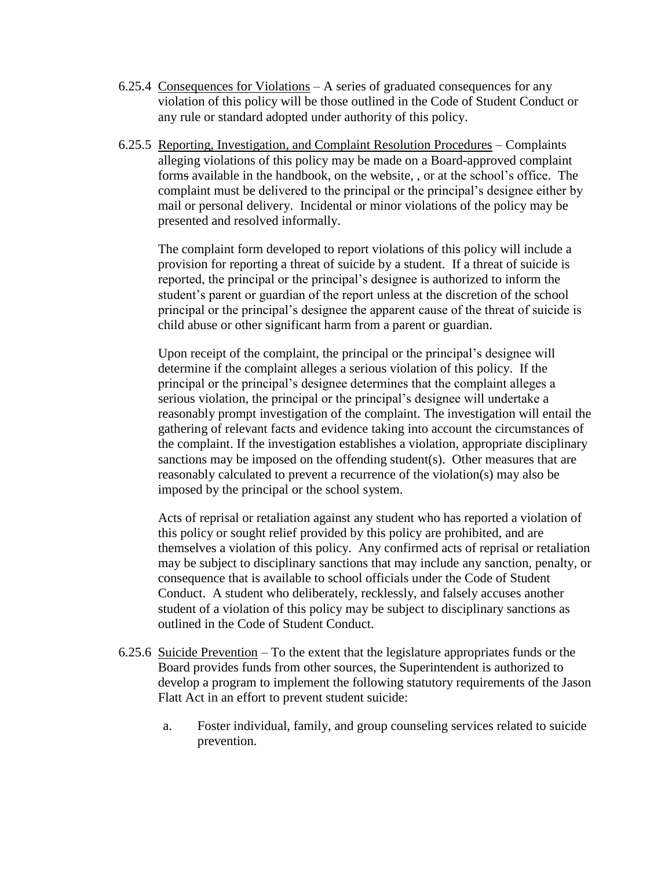- 6.25.4 Consequences for Violations A series of graduated consequences for any violation of this policy will be those outlined in the Code of Student Conduct or any rule or standard adopted under authority of this policy.
- 6.25.5 Reporting, Investigation, and Complaint Resolution Procedures Complaints alleging violations of this policy may be made on a Board-approved complaint forms available in the handbook, on the website, , or at the school's office. The complaint must be delivered to the principal or the principal's designee either by mail or personal delivery. Incidental or minor violations of the policy may be presented and resolved informally.

The complaint form developed to report violations of this policy will include a provision for reporting a threat of suicide by a student. If a threat of suicide is reported, the principal or the principal's designee is authorized to inform the student's parent or guardian of the report unless at the discretion of the school principal or the principal's designee the apparent cause of the threat of suicide is child abuse or other significant harm from a parent or guardian.

Upon receipt of the complaint, the principal or the principal's designee will determine if the complaint alleges a serious violation of this policy. If the principal or the principal's designee determines that the complaint alleges a serious violation, the principal or the principal's designee will undertake a reasonably prompt investigation of the complaint. The investigation will entail the gathering of relevant facts and evidence taking into account the circumstances of the complaint. If the investigation establishes a violation, appropriate disciplinary sanctions may be imposed on the offending student(s). Other measures that are reasonably calculated to prevent a recurrence of the violation(s) may also be imposed by the principal or the school system.

Acts of reprisal or retaliation against any student who has reported a violation of this policy or sought relief provided by this policy are prohibited, and are themselves a violation of this policy. Any confirmed acts of reprisal or retaliation may be subject to disciplinary sanctions that may include any sanction, penalty, or consequence that is available to school officials under the Code of Student Conduct. A student who deliberately, recklessly, and falsely accuses another student of a violation of this policy may be subject to disciplinary sanctions as outlined in the Code of Student Conduct.

- 6.25.6 Suicide Prevention To the extent that the legislature appropriates funds or the Board provides funds from other sources, the Superintendent is authorized to develop a program to implement the following statutory requirements of the Jason Flatt Act in an effort to prevent student suicide:
	- a. Foster individual, family, and group counseling services related to suicide prevention.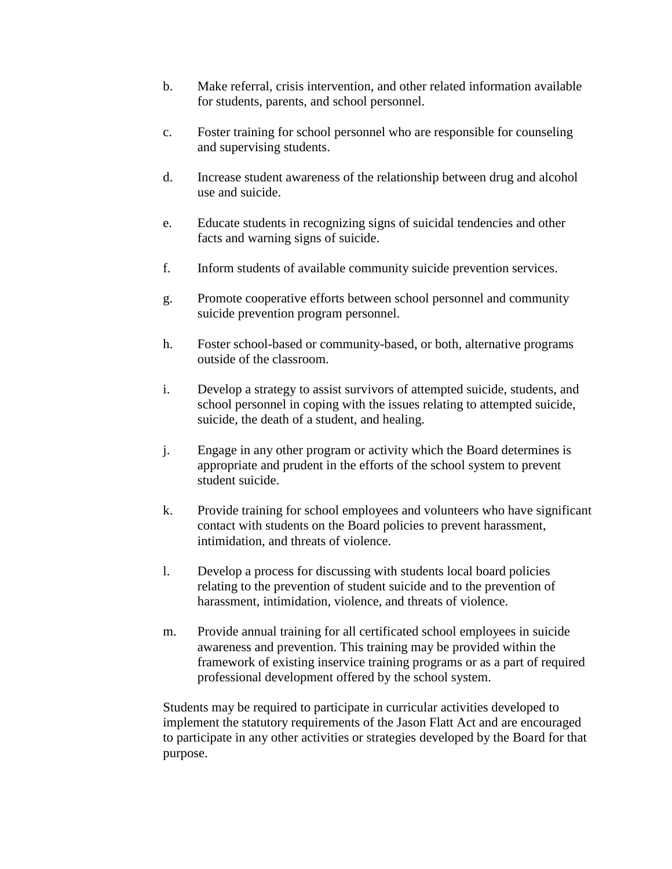- b. Make referral, crisis intervention, and other related information available for students, parents, and school personnel.
- c. Foster training for school personnel who are responsible for counseling and supervising students.
- d. Increase student awareness of the relationship between drug and alcohol use and suicide.
- e. Educate students in recognizing signs of suicidal tendencies and other facts and warning signs of suicide.
- f. Inform students of available community suicide prevention services.
- g. Promote cooperative efforts between school personnel and community suicide prevention program personnel.
- h. Foster school-based or community-based, or both, alternative programs outside of the classroom.
- i. Develop a strategy to assist survivors of attempted suicide, students, and school personnel in coping with the issues relating to attempted suicide, suicide, the death of a student, and healing.
- j. Engage in any other program or activity which the Board determines is appropriate and prudent in the efforts of the school system to prevent student suicide.
- k. Provide training for school employees and volunteers who have significant contact with students on the Board policies to prevent harassment, intimidation, and threats of violence.
- l. Develop a process for discussing with students local board policies relating to the prevention of student suicide and to the prevention of harassment, intimidation, violence, and threats of violence.
- m. Provide annual training for all certificated school employees in suicide awareness and prevention. This training may be provided within the framework of existing inservice training programs or as a part of required professional development offered by the school system.

Students may be required to participate in curricular activities developed to implement the statutory requirements of the Jason Flatt Act and are encouraged to participate in any other activities or strategies developed by the Board for that purpose.